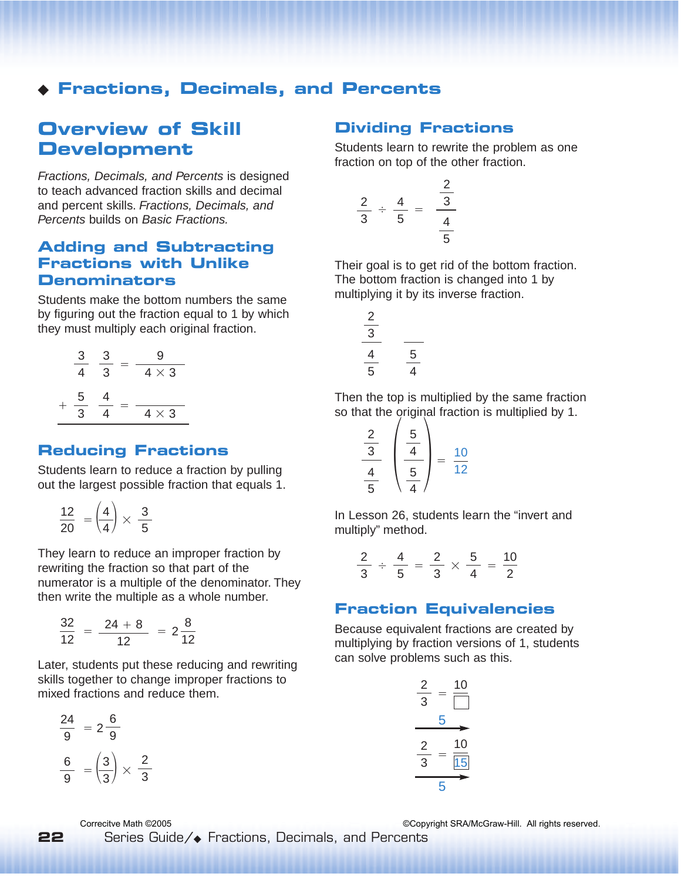## ◆ **Fractions, Decimals, and Percents**

# **Overview of Skill Development**

Fractions, Decimals, and Percents is designed to teach advanced fraction skills and decimal and percent skills. Fractions, Decimals, and Percents builds on Basic Fractions.

### **Adding and Subtracting Fractions with Unlike Denominators**

Students make the bottom numbers the same by figuring out the fraction equal to 1 by which they must multiply each original fraction.

| З | З | 9            |
|---|---|--------------|
| 4 | 3 | $4 \times 3$ |
| 5 | 4 |              |
| 3 |   | $4 \times 3$ |

#### **Reducing Fractions**

Students learn to reduce a fraction by pulling out the largest possible fraction that equals 1.

$$
\frac{12}{20} = \left(\frac{4}{4}\right) \times \frac{3}{5}
$$

They learn to reduce an improper fraction by rewriting the fraction so that part of the numerator is a multiple of the denominator. They then write the multiple as a whole number.

$$
\frac{32}{12} = \frac{24+8}{12} = 2\frac{8}{12}
$$

Later, students put these reducing and rewriting skills together to change improper fractions to mixed fractions and reduce them.

$$
\frac{24}{9} = 2\frac{6}{9}
$$

$$
\frac{6}{9} = \left(\frac{3}{3}\right) \times \frac{2}{3}
$$

### **Dividing Fractions**

Students learn to rewrite the problem as one fraction on top of the other fraction.

$$
\frac{2}{3} \div \frac{4}{5} = \frac{\frac{2}{3}}{\frac{4}{5}}
$$

Their goal is to get rid of the bottom fraction. The bottom fraction is changed into 1 by multiplying it by its inverse fraction.

$$
\begin{array}{c|c}\n\frac{2}{3} & \frac{1}{5} \\
\hline\n\frac{4}{5} & \frac{5}{4}\n\end{array}
$$

Then the top is multiplied by the same fraction so that the original fraction is multiplied by 1.

$$
\frac{\frac{2}{3}}{\frac{4}{5}}\left(\frac{\frac{5}{4}}{\frac{5}{4}}\right)=\frac{10}{12}
$$

In Lesson 26, students learn the "invert and multiply" method.

$$
\frac{2}{3} \div \frac{4}{5} = \frac{2}{3} \times \frac{5}{4} = \frac{10}{2}
$$

#### **Fraction Equivalencies**

Because equivalent fractions are created by multiplying by fraction versions of 1, students can solve problems such as this.

$$
\frac{2}{3} = \frac{10}{\boxed{}}\n \xrightarrow{5}\n \frac{2}{3} = \frac{10}{\boxed{15}}
$$

Correcitve Math ©2005 ©Copyright SRA/McGraw-Hill. All rights reserved.

Series Guide/◆ Fractions, Decimals, and Percents